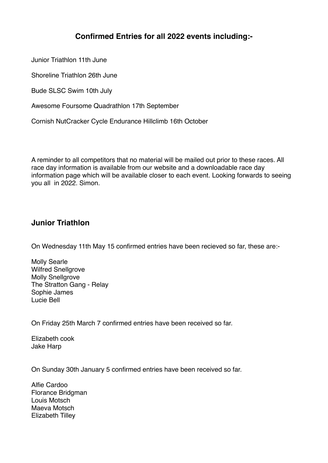# **Confirmed Entries for all 2022 events including:-**

Junior Triathlon 11th June

Shoreline Triathlon 26th June

Bude SLSC Swim 10th July

Awesome Foursome Quadrathlon 17th September

Cornish NutCracker Cycle Endurance Hillclimb 16th October

A reminder to all competitors that no material will be mailed out prior to these races. All race day information is available from our website and a downloadable race day information page which will be available closer to each event. Looking forwards to seeing you all in 2022. Simon.

## **Junior Triathlon**

On Wednesday 11th May 15 confirmed entries have been recieved so far, these are:-

Molly Searle Wilfred Snellgrove Molly Snellgrove The Stratton Gang - Relay Sophie James Lucie Bell

On Friday 25th March 7 confirmed entries have been received so far.

Elizabeth cook Jake Harp

On Sunday 30th January 5 confirmed entries have been received so far.

Alfie Cardoo Florance Bridgman Louis Motsch Maeva Motsch Elizabeth Tilley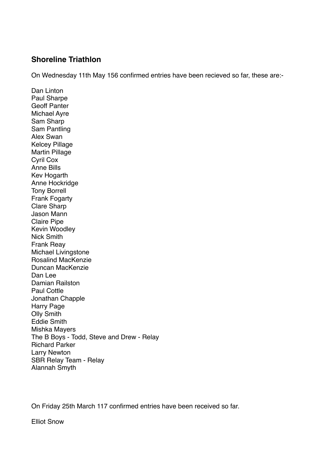#### **Shoreline Triathlon**

On Wednesday 11th May 156 confirmed entries have been recieved so far, these are:-

Dan Linton Paul Sharpe Geoff Panter Michael Ayre Sam Sharp Sam Pantling Alex Swan Kelcey Pillage Martin Pillage Cyril Cox Anne Bills Kev Hogarth Anne Hockridge Tony Borrell Frank Fogarty Clare Sharp Jason Mann Claire Pipe Kevin Woodley Nick Smith Frank Reay Michael Livingstone Rosalind MacKenzie Duncan MacKenzie Dan Lee Damian Railston Paul Cottle Jonathan Chapple Harry Page Olly Smith Eddie Smith Mishka Mayers The B Boys - Todd, Steve and Drew - Relay Richard Parker Larry Newton SBR Relay Team - Relay Alannah Smyth

On Friday 25th March 117 confirmed entries have been received so far.

Elliot Snow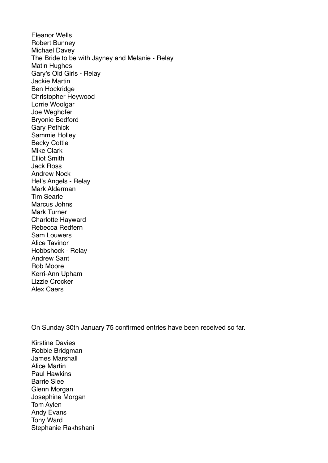Eleanor Wells Robert Bunney Michael Davey The Bride to be with Jayney and Melanie - Relay Matin Hughes Gary's Old Girls - Relay Jackie Martin Ben Hockridge Christopher Heywood Lorrie Woolgar Joe Weghofer Bryonie Bedford Gary Pethick Sammie Holley Becky Cottle Mike Clark Elliot Smith Jack Ross Andrew Nock Hel's Angels - Relay Mark Alderman Tim Searle Marcus Johns Mark Turner Charlotte Hayward Rebecca Redfern Sam Louwers Alice Tavinor Hobbshock - Relay Andrew Sant Rob Moore Kerri-Ann Upham Lizzie Crocker

Alex Caers

On Sunday 30th January 75 confirmed entries have been received so far.

Kirstine Davies Robbie Bridgman James Marshall Alice Martin Paul Hawkins Barrie Slee Glenn Morgan Josephine Morgan Tom Aylen Andy Evans Tony Ward Stephanie Rakhshani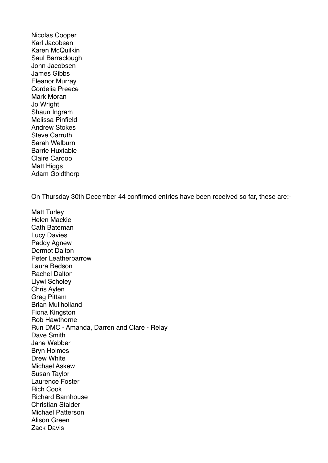Nicolas Cooper Karl Jacobsen Karen McQuilkin Saul Barraclough John Jacobsen James Gibbs Eleanor Murray Cordelia Preece Mark Moran Jo Wright Shaun Ingram Melissa Pinfield Andrew Stokes Steve Carruth Sarah Welburn Barrie Huxtable Claire Cardoo Matt Higgs Adam Goldthorp

On Thursday 30th December 44 confirmed entries have been received so far, these are:-

Matt Turley Helen Mackie Cath Bateman Lucy Davies Paddy Agnew Dermot Dalton Peter Leatherbarrow Laura Bedson Rachel Dalton Llywi Scholey Chris Aylen Greg Pittam Brian Mullholland Fiona Kingston Rob Hawthorne Run DMC - Amanda, Darren and Clare - Relay Dave Smith Jane Webber Bryn Holmes Drew White Michael Askew Susan Taylor Laurence Foster Rich Cook Richard Barnhouse Christian Stalder Michael Patterson Alison Green Zack Davis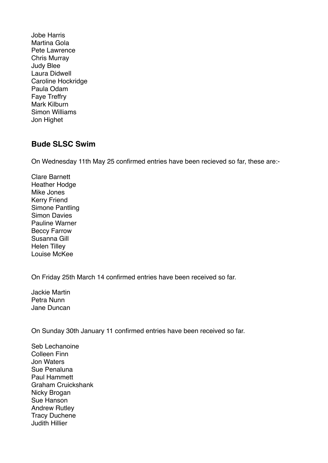Jobe Harris Martina Gola Pete Lawrence Chris Murray Judy Blee Laura Didwell Caroline Hockridge Paula Odam Faye Treffry Mark Kilburn Simon Williams Jon Highet

## **Bude SLSC Swim**

On Wednesday 11th May 25 confirmed entries have been recieved so far, these are:-

Clare Barnett Heather Hodge Mike Jones Kerry Friend Simone Pantling Simon Davies Pauline Warner Beccy Farrow Susanna Gill Helen Tilley Louise McKee

On Friday 25th March 14 confirmed entries have been received so far.

Jackie Martin Petra Nunn Jane Duncan

On Sunday 30th January 11 confirmed entries have been received so far.

Seb Lechanoine Colleen Finn Jon Waters Sue Penaluna Paul Hammett Graham Cruickshank Nicky Brogan Sue Hanson Andrew Rutley Tracy Duchene Judith Hillier